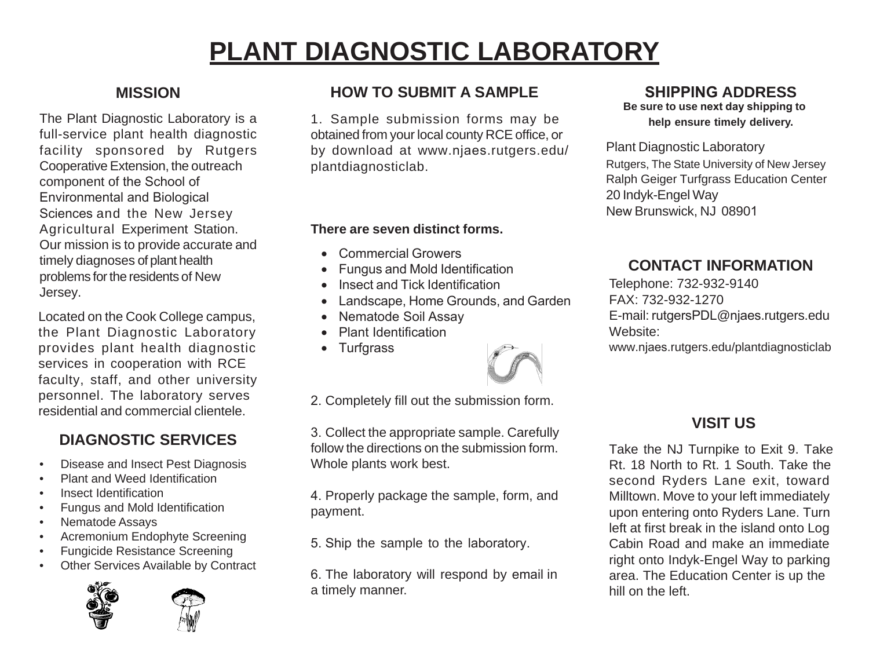# **PLANT DIAGNOSTIC LABORATORY**

The Plant Diagnostic Laboratory is a full-service plant health diagnostic facility sponsored by Rutgers Cooperative Extension, the outreach component of the School of Environmental and Biological Sciences and the New Jersey Agricultural Experiment Station. Our mission is to provide accurate and timely diagnoses of plant health problems for the residents of New Jersey.

Located on the Cook College campus, the Plant Diagnostic Laboratory provides plant health diagnostic services in cooperation with RCE faculty, staff, and other university personnel. The laboratory serves residential and commercial clientele.

### **DIAGNOSTIC SERVICES**

- Disease and Insect Pest Diagnosis
- Plant and Weed Identification
- Insect Identification
- Fungus and Mold Identification
- Nematode Assays
- Acremonium Endophyte Screening
- Fungicide Resistance Screening
- Other Services Available by Contract



**MISSION HOW TO SUBMIT A SAMPLE** 

1. Sample submission forms may be obtained from your local county RCE office, or by download at www.njaes.rutgers.edu/ plantdiagnosticlab.

### **There are seven distinct forms.**

- Commercial Growers
- Fungus and Mold Identification
- Insect and Tick Identification
- Landscape, Home Grounds, and Garden
- Nematode Soil Assay
- Plant Identification
- Turfgrass



2. Completely fill out the submission form.

3. Collect the appropriate sample. Carefully follow the directions on the submission form. Whole plants work best.

4. Properly package the sample, form, and payment.

5. Ship the sample to the laboratory.

6. The laboratory will respond by email in a timely manner.

### **SHIPPING ADDRESS**

**Be sure to use next day shipping to help ensure timely delivery.** 

Plant Diagnostic Laboratory Rutgers, The State University of New Jersey Ralph Geiger Turfgrass Education Center 20 Indyk-Engel Way New Brunswick, NJ 08901

### **CONTACT INFORMATION**

Telephone: 732-932-9140 FAX: 732-932-1270 E-mail: rutgersPDL@njaes.rutgers.edu Website:

www.njaes.rutgers.edu/plantdiagnosticlab

## **VISIT US**

Take the NJ Turnpike to Exit 9. Take Rt. 18 North to Rt. 1 South. Take the second Ryders Lane exit, toward Milltown. Move to your left immediately upon entering onto Ryders Lane. Turn left at first break in the island onto Log Cabin Road and make an immediate right onto Indyk-Engel Way to parking area. The Education Center is up the hill on the left.